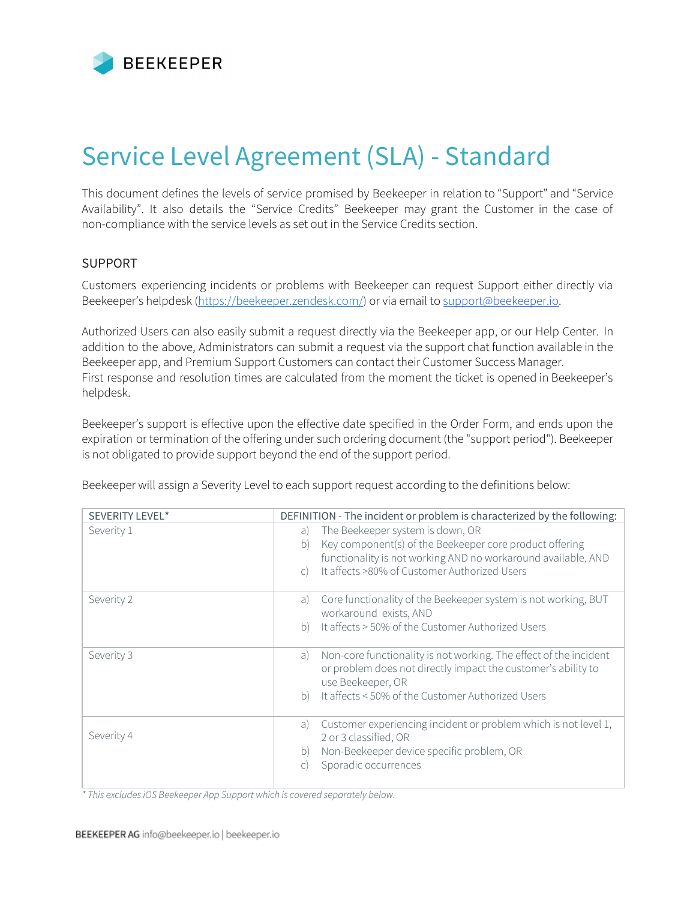

# Service Level Agreement (SLA) - Standard

This document defines the levels of service promised by Beekeeper in relation to "Support" and "Service Availability". It also details the "Service Credits" Beekeeper may grant the Customer in the case of non-compliance with the service levels as set out in the Service Credits section.

## SUPPORT

Customers experiencing incidents or problems with Beekeeper can request Support either directly via Beekeeper's helpdesk [\(https://beekeeper.zendesk.com/\)](https://beekeeper.zendesk.com/)) or via email to [support@beekeeper.io.](mailto:support@beekeeper.io)

Authorized Users can also easily submit a request directly via the Beekeeper app, or our Help Center. In addition to the above, Administrators can submit a request via the support chat function available in the Beekeeper app, and Premium Support Customers can contact their Customer Success Manager. First response and resolution times are calculated from the moment the ticket is opened in Beekeeper's helpdesk.

Beekeeper's support is effective upon the effective date specified in the Order Form, and ends upon the expiration or termination of the offering under such ordering document (the "support period"). Beekeeper is not obligated to provide support beyond the end of the support period.

Beekeeper will assign a Severity Level to each support request according to the definitions below:

| SEVERITY LEVEL* | DEFINITION - The incident or problem is characterized by the following:                                                                                                                                                                   |  |
|-----------------|-------------------------------------------------------------------------------------------------------------------------------------------------------------------------------------------------------------------------------------------|--|
| Severity 1      | The Beekeeper system is down, OR<br>a)<br>Key component(s) of the Beekeeper core product offering<br>b)<br>functionality is not working AND no workaround available, AND<br>It affects >80% of Customer Authorized Users<br>$\mathcal{C}$ |  |
| Severity 2      | Core functionality of the Beekeeper system is not working, BUT<br>a)<br>workaround exists, AND<br>It affects > 50% of the Customer Authorized Users<br>b)                                                                                 |  |
| Severity 3      | Non-core functionality is not working. The effect of the incident<br>a)<br>or problem does not directly impact the customer's ability to<br>use Beekeeper, OR<br>It affects < 50% of the Customer Authorized Users<br>b)                  |  |
| Severity 4      | Customer experiencing incident or problem which is not level 1,<br>a)<br>2 or 3 classified, OR<br>Non-Beekeeper device specific problem, OR<br>b)<br>Sporadic occurrences<br>C)                                                           |  |

*\* This excludesiOS Beekeeper App Support which is covered separately below.*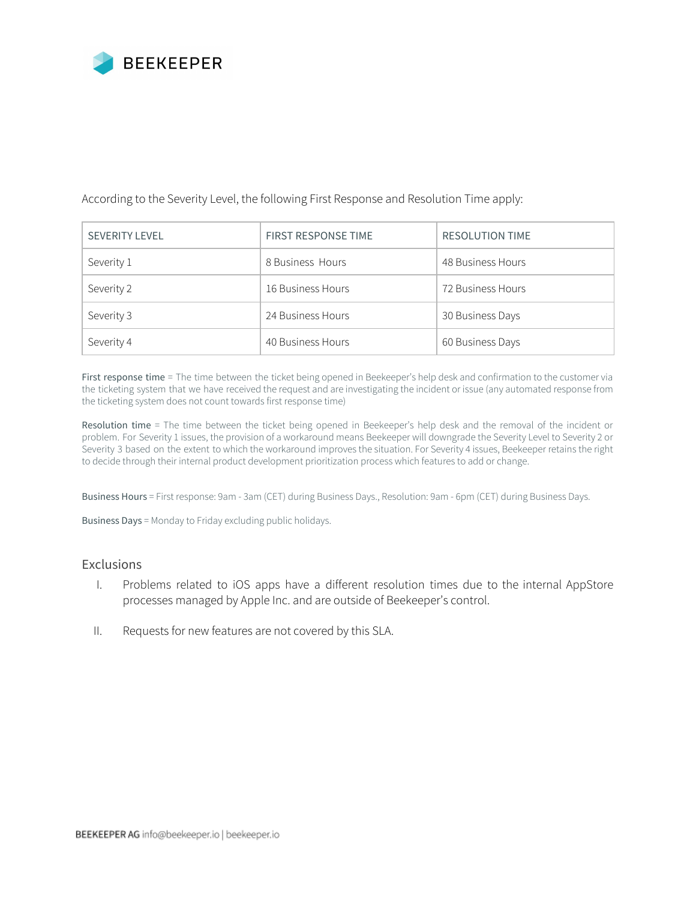

#### According to the Severity Level, the following First Response and Resolution Time apply:

| <b>SEVERITY LEVEL</b> | <b>FIRST RESPONSE TIME</b> | <b>RESOLUTION TIME</b> |
|-----------------------|----------------------------|------------------------|
| Severity 1            | 8 Business Hours           | 48 Business Hours      |
| Severity 2            | 16 Business Hours          | 72 Business Hours      |
| Severity 3            | 24 Business Hours          | 30 Business Days       |
| Severity 4            | 40 Business Hours          | 60 Business Days       |

First response time = The time between the ticket being opened in Beekeeper's help desk and confirmation to the customer via the ticketing system that we have received the request and are investigating the incident or issue (any automated response from the ticketing system does not count towards first response time)

Resolution time = The time between the ticket being opened in Beekeeper's help desk and the removal of the incident or problem. For Severity 1 issues, the provision of a workaround means Beekeeper will downgrade the Severity Level to Severity 2 or Severity 3 based on the extent to which the workaround improves the situation. For Severity 4 issues, Beekeeper retains the right to decide through their internal product development prioritization process which features to add or change.

Business Hours = First response: 9am - 3am (CET) during Business Days., Resolution: 9am - 6pm (CET) during Business Days.

Business Days = Monday to Friday excluding public holidays.

#### Exclusions

- I. Problems related to iOS apps have a different resolution times due to the internal AppStore processes managed by Apple Inc. and are outside of Beekeeper's control.
- II. Requests for new features are not covered by this SLA.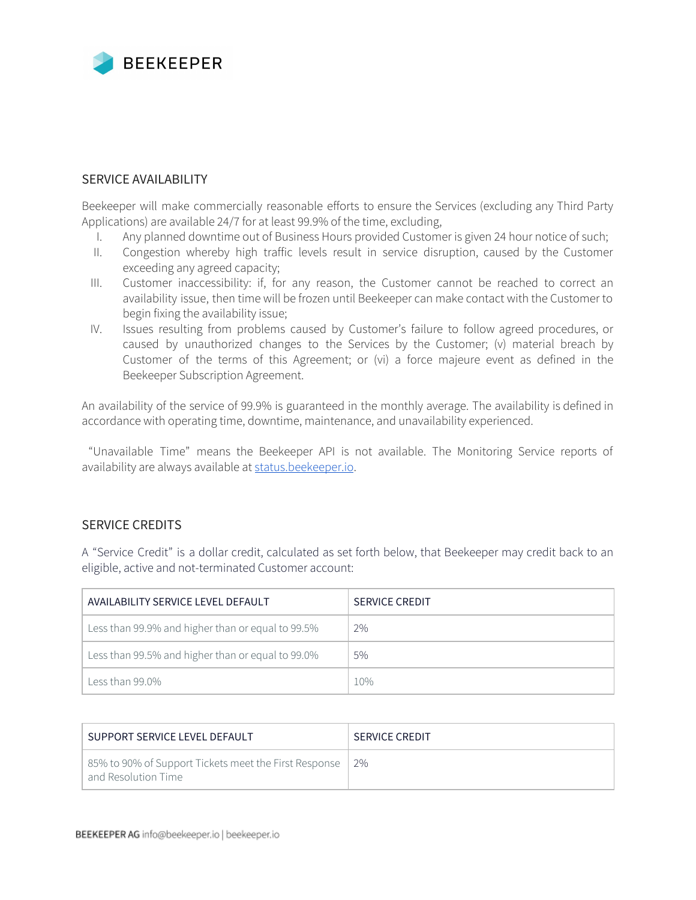

### SERVICE AVAILABILITY

Beekeeper will make commercially reasonable efforts to ensure the Services (excluding any Third Party Applications) are available 24/7 for at least 99.9% of the time, excluding,

- I. Any planned downtime out of Business Hours provided Customer is given 24 hour notice of such;
- II. Congestion whereby high traffic levels result in service disruption, caused by the Customer exceeding any agreed capacity;
- III. Customer inaccessibility: if, for any reason, the Customer cannot be reached to correct an availability issue, then time will be frozen until Beekeeper can make contact with the Customer to begin fixing the availability issue;
- IV. Issues resulting from problems caused by Customer's failure to follow agreed procedures, or caused by unauthorized changes to the Services by the Customer; (v) material breach by Customer of the terms of this Agreement; or (vi) a force majeure event as defined in the Beekeeper Subscription Agreement.

An availability of the service of 99.9% is guaranteed in the monthly average. The availability is defined in accordance with operating time, downtime, maintenance, and unavailability experienced.

"Unavailable Time" means the Beekeeper API is not available. The Monitoring Service reports of availability are always available at [status.beekeeper.io](http://status.beekeeper.io/).

## SERVICE CREDITS

A "Service Credit" is a dollar credit, calculated as set forth below, that Beekeeper may credit back to an eligible, active and not-terminated Customer account:

| AVAILABILITY SERVICE LEVEL DEFAULT                | <b>SERVICE CREDIT</b> |
|---------------------------------------------------|-----------------------|
| Less than 99.9% and higher than or equal to 99.5% | 2%                    |
| Less than 99.5% and higher than or equal to 99.0% | $5\%$                 |
| Less than $99.0\%$                                | 10%                   |

| SUPPORT SERVICE LEVEL DEFAULT                                                  | <b>SERVICE CREDIT</b> |
|--------------------------------------------------------------------------------|-----------------------|
| 85% to 90% of Support Tickets meet the First Response  <br>and Resolution Time | 2%                    |